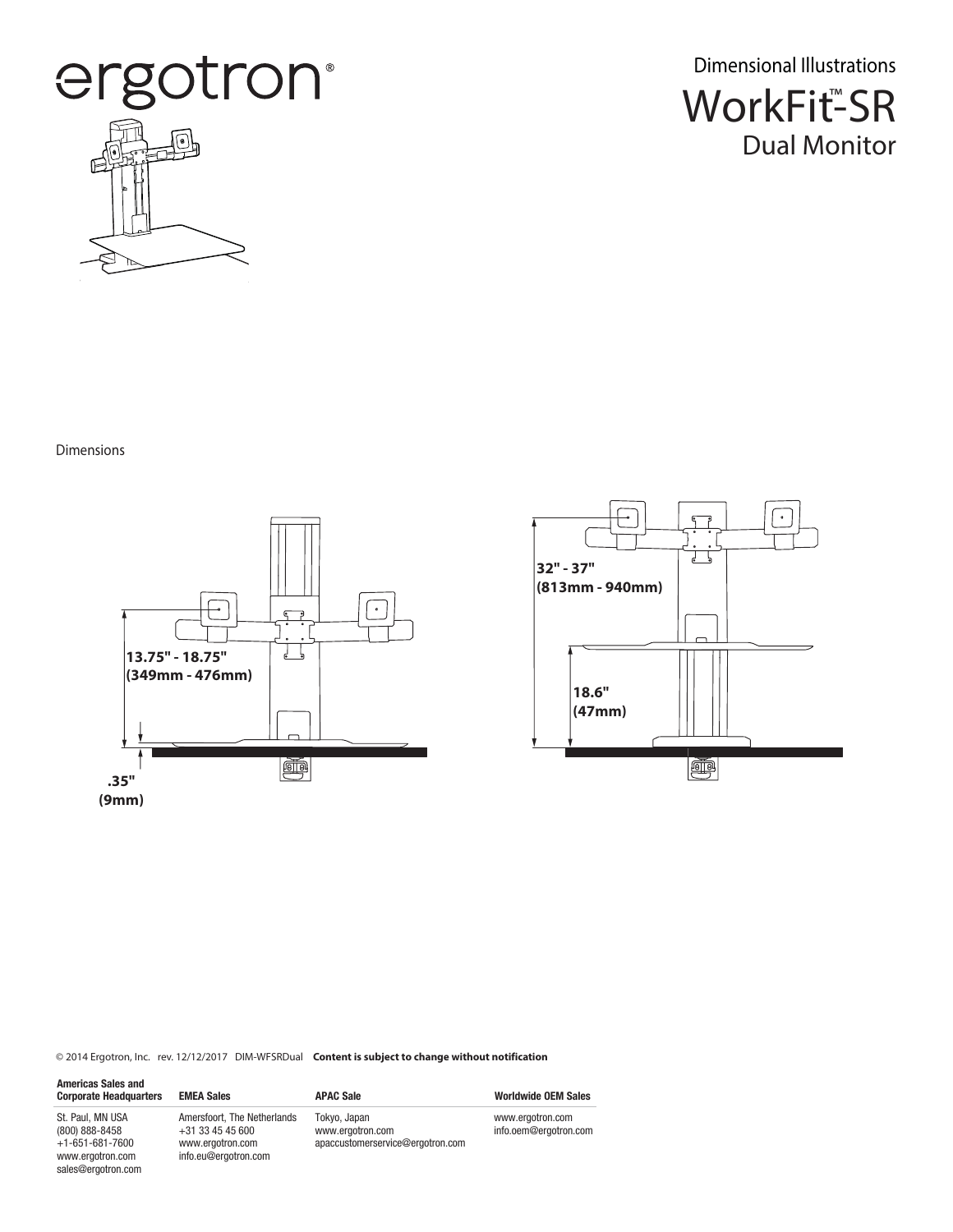

WorkFit<sup>™</sup>SR Dual Monitor Dimensional Illustrations

Dimensions

sales@ergotron.com





© 2014 Ergotron, Inc. rev. 12/12/2017 DIM-WFSRDual **Content is subject to change without notification**

| <b>Americas Sales and</b><br><b>Corporate Headquarters</b> | <b>EMEA Sales</b>                                                     | <b>APAC Sale</b>                                                     | <b>Worldwide OEM Sales</b>                |
|------------------------------------------------------------|-----------------------------------------------------------------------|----------------------------------------------------------------------|-------------------------------------------|
| St. Paul. MN USA<br>(800) 888-8458<br>$+1-651-681-7600$    | Amersfoort, The Netherlands<br>$+31$ 33 45 45 600<br>www.ergotron.com | Tokyo, Japan<br>www.ergotron.com<br>apaccustomerservice@ergotron.com | www.ergotron.com<br>info.oem@ergotron.com |
| www.ergotron.com                                           | info.eu@ergotron.com                                                  |                                                                      |                                           |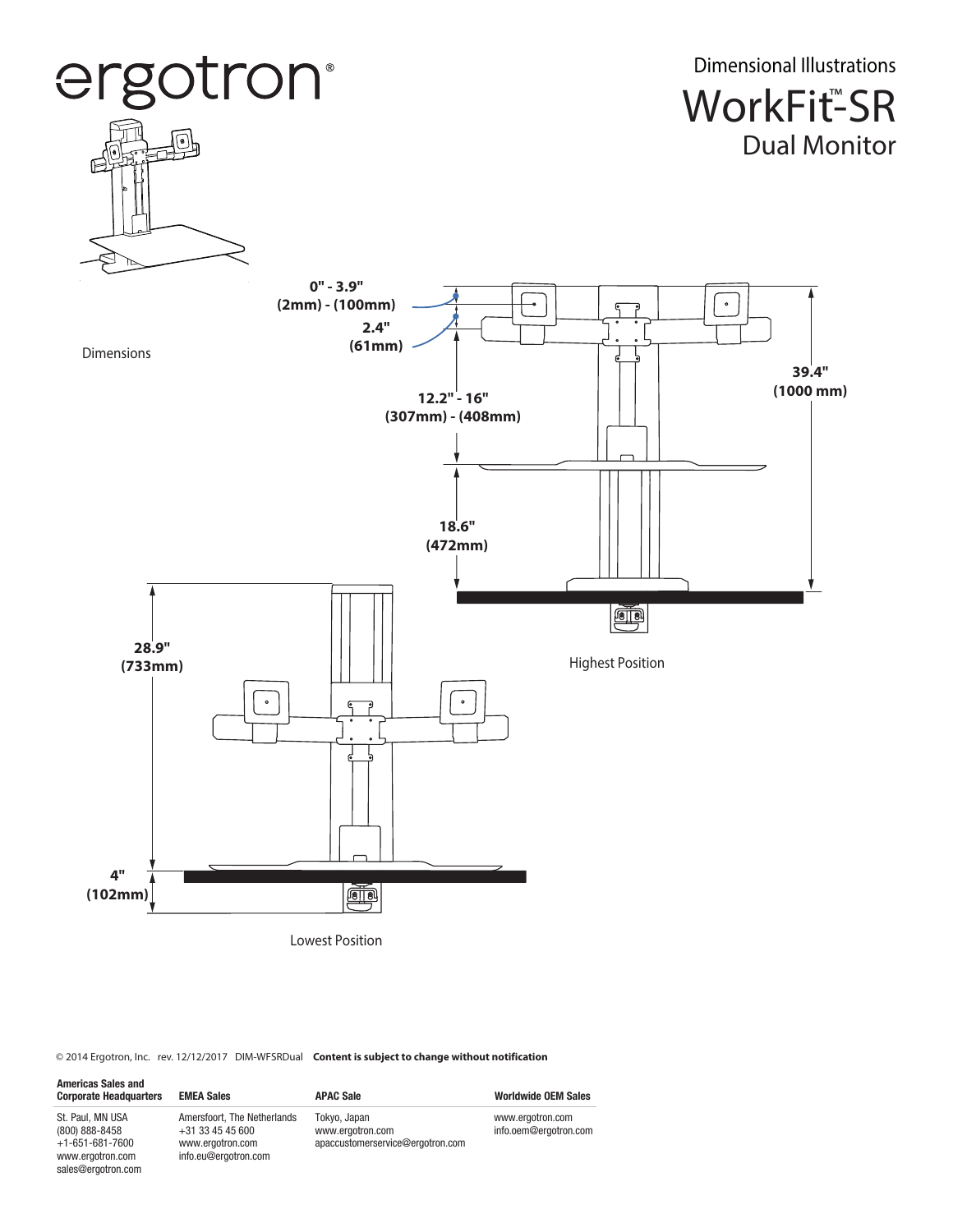

© 2014 Ergotron, Inc. rev. 12/12/2017 DIM-WFSRDual **Content is subject to change without notification**

sales@ergotron.com

| <b>Americas Sales and</b><br><b>Corporate Headquarters</b> | <b>EMEA Sales</b>                                                     | <b>APAC Sale</b>                                                     | <b>Worldwide OEM Sales</b>                |
|------------------------------------------------------------|-----------------------------------------------------------------------|----------------------------------------------------------------------|-------------------------------------------|
| St. Paul. MN USA<br>(800) 888-8458<br>$+1-651-681-7600$    | Amersfoort, The Netherlands<br>$+31$ 33 45 45 600<br>www.ergotron.com | Tokyo, Japan<br>www.ergotron.com<br>apaccustomerservice@ergotron.com | www.ergotron.com<br>info.oem@ergotron.com |
| www.ergotron.com                                           | info.eu@ergotron.com                                                  |                                                                      |                                           |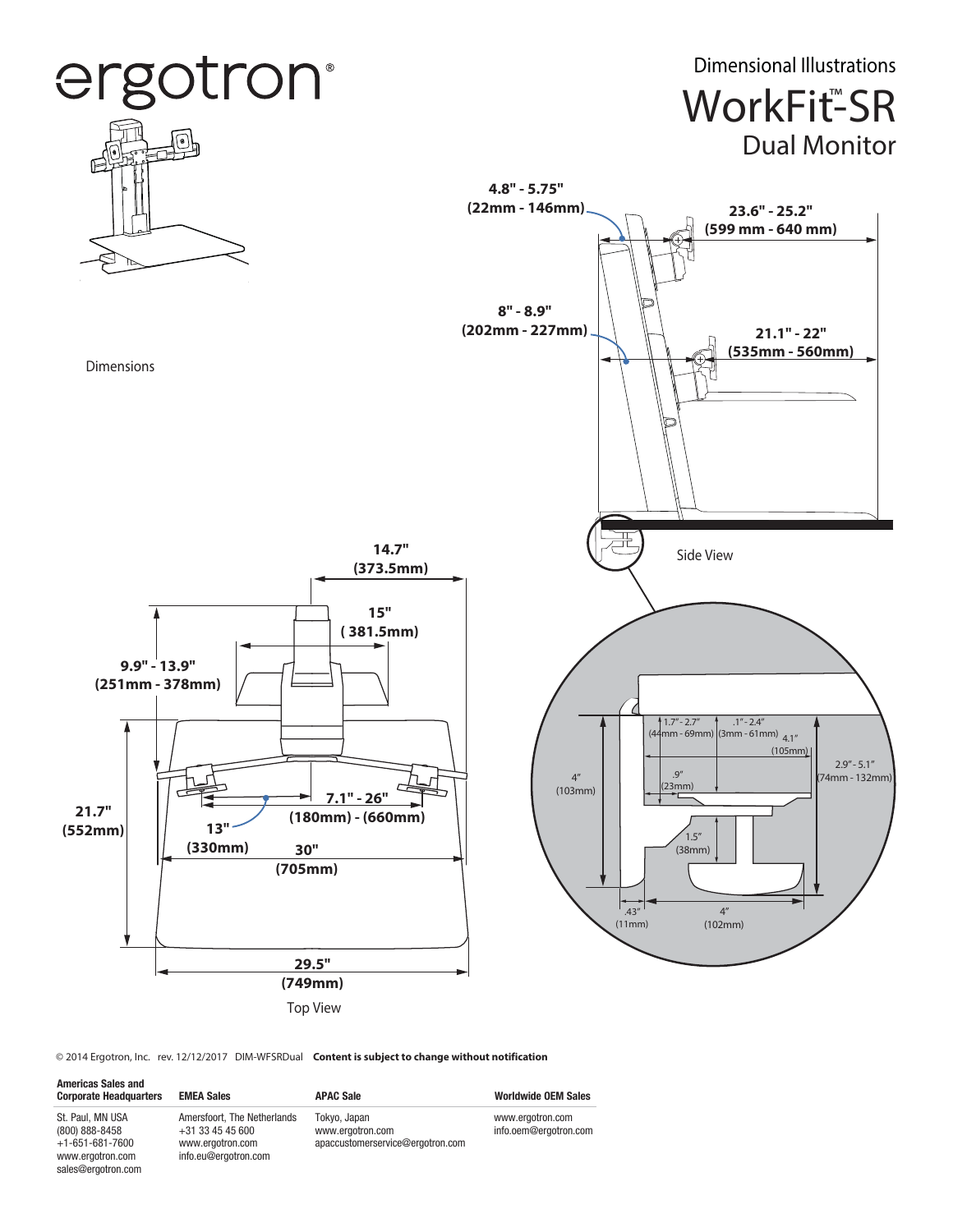

© 2014 Ergotron, Inc. rev. 12/12/2017 DIM-WFSRDual **Content is subject to change without notification**

sales@ergotron.com

| <b>Americas Sales and</b><br><b>Corporate Headquarters</b>                  | <b>EMEA Sales</b>                                                                             | <b>APAC Sale</b>                                                     | <b>Worldwide OEM Sales</b>                |
|-----------------------------------------------------------------------------|-----------------------------------------------------------------------------------------------|----------------------------------------------------------------------|-------------------------------------------|
| St. Paul. MN USA<br>(800) 888-8458<br>$+1-651-681-7600$<br>www.ergotron.com | Amersfoort. The Netherlands<br>$+31$ 33 45 45 600<br>www.ergotron.com<br>info.eu@ergotron.com | Tokyo, Japan<br>www.ergotron.com<br>apaccustomerservice@ergotron.com | www.ergotron.com<br>info.oem@ergotron.com |